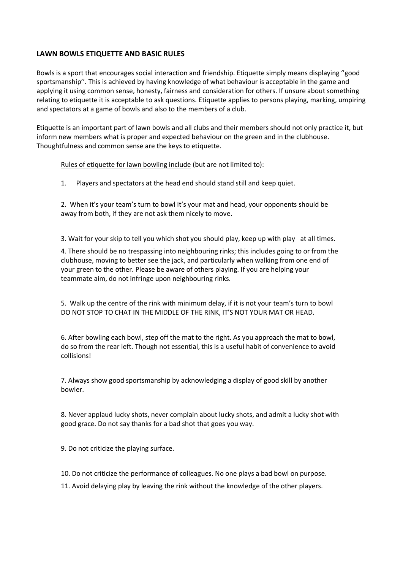# **LAWN BOWLS ETIQUETTE AND BASIC RULES**

Bowls is a sport that encourages social interaction and friendship. Etiquette simply means displaying ''good sportsmanship''. This is achieved by having knowledge of what behaviour is acceptable in the game and applying it using common sense, honesty, fairness and consideration for others. If unsure about something relating to etiquette it is acceptable to ask questions. Etiquette applies to persons playing, marking, umpiring and spectators at a game of bowls and also to the members of a club.

Etiquette is an important part of lawn bowls and all clubs and their members should not only practice it, but inform new members what is proper and expected behaviour on the green and in the clubhouse. Thoughtfulness and common sense are the keys to etiquette.

Rules of etiquette for lawn bowling include (but are not limited to):

1. Players and spectators at the head end should stand still and keep quiet.

2. When it's your team's turn to bowl it's your mat and head, your opponents should be away from both, if they are not ask them nicely to move.

3. Wait for your skip to tell you which shot you should play, keep up with play at all times.

4. There should be no trespassing into neighbouring rinks; this includes going to or from the clubhouse, moving to better see the jack, and particularly when walking from one end of your green to the other. Please be aware of others playing. If you are helping your teammate aim, do not infringe upon neighbouring rinks.

5. Walk up the centre of the rink with minimum delay, if it is not your team's turn to bowl DO NOT STOP TO CHAT IN THE MIDDLE OF THE RINK, IT'S NOT YOUR MAT OR HEAD.

6. After bowling each bowl, step off the mat to the right. As you approach the mat to bowl, do so from the rear left. Though not essential, this is a useful habit of convenience to avoid collisions!

7. Always show good sportsmanship by acknowledging a display of good skill by another bowler.

8. Never applaud lucky shots, never complain about lucky shots, and admit a lucky shot with good grace. Do not say thanks for a bad shot that goes you way.

9. Do not criticize the playing surface.

10. Do not criticize the performance of colleagues. No one plays a bad bowl on purpose.

11. Avoid delaying play by leaving the rink without the knowledge of the other players.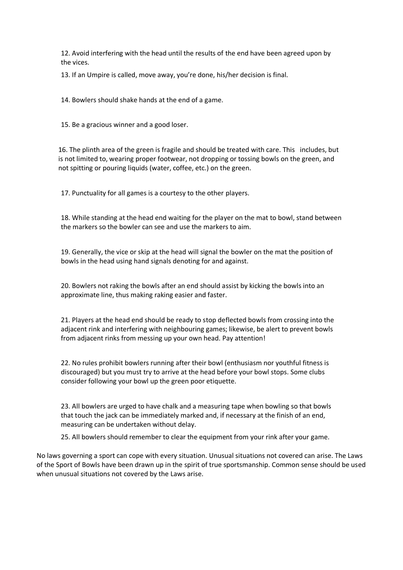12. Avoid interfering with the head until the results of the end have been agreed upon by the vices.

13. If an Umpire is called, move away, you're done, his/her decision is final.

14. Bowlers should shake hands at the end of a game.

15. Be a gracious winner and a good loser.

16. The plinth area of the green is fragile and should be treated with care. This includes, but is not limited to, wearing proper footwear, not dropping or tossing bowls on the green, and not spitting or pouring liquids (water, coffee, etc.) on the green.

17. Punctuality for all games is a courtesy to the other players.

18. While standing at the head end waiting for the player on the mat to bowl, stand between the markers so the bowler can see and use the markers to aim.

19. Generally, the vice or skip at the head will signal the bowler on the mat the position of bowls in the head using hand signals denoting for and against.

20. Bowlers not raking the bowls after an end should assist by kicking the bowls into an approximate line, thus making raking easier and faster.

21. Players at the head end should be ready to stop deflected bowls from crossing into the adjacent rink and interfering with neighbouring games; likewise, be alert to prevent bowls from adjacent rinks from messing up your own head. Pay attention!

22. No rules prohibit bowlers running after their bowl (enthusiasm nor youthful fitness is discouraged) but you must try to arrive at the head before your bowl stops. Some clubs consider following your bowl up the green poor etiquette.

23. All bowlers are urged to have chalk and a measuring tape when bowling so that bowls that touch the jack can be immediately marked and, if necessary at the finish of an end, measuring can be undertaken without delay.

25. All bowlers should remember to clear the equipment from your rink after your game.

No laws governing a sport can cope with every situation. Unusual situations not covered can arise. The Laws of the Sport of Bowls have been drawn up in the spirit of true sportsmanship. Common sense should be used when unusual situations not covered by the Laws arise.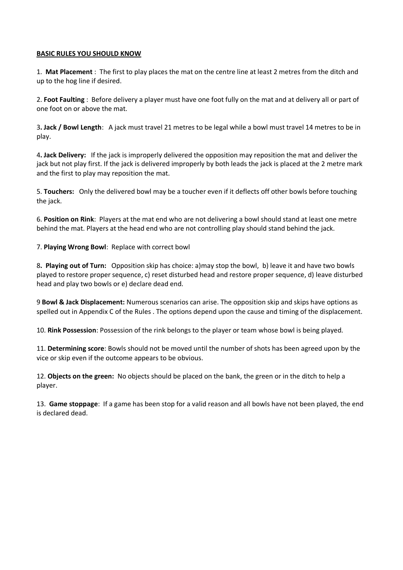## **BASIC RULES YOU SHOULD KNOW**

1. **Mat Placement** : The first to play places the mat on the centre line at least 2 metres from the ditch and up to the hog line if desired.

2. **Foot Faulting** : Before delivery a player must have one foot fully on the mat and at delivery all or part of one foot on or above the mat.

3**. Jack / Bowl Length**: A jack must travel 21 metres to be legal while a bowl must travel 14 metres to be in play.

4**. Jack Delivery:** If the jack is improperly delivered the opposition may reposition the mat and deliver the jack but not play first. If the jack is delivered improperly by both leads the jack is placed at the 2 metre mark and the first to play may reposition the mat.

5. **Touchers:** Only the delivered bowl may be a toucher even if it deflects off other bowls before touching the jack.

6. **Position on Rink**: Players at the mat end who are not delivering a bowl should stand at least one metre behind the mat. Players at the head end who are not controlling play should stand behind the jack.

7. **Playing Wrong Bowl**: Replace with correct bowl

8**. Playing out of Turn:** Opposition skip has choice: a)may stop the bowl, b) leave it and have two bowls played to restore proper sequence, c) reset disturbed head and restore proper sequence, d) leave disturbed head and play two bowls or e) declare dead end.

9 **Bowl & Jack Displacement:** Numerous scenarios can arise. The opposition skip and skips have options as spelled out in Appendix C of the Rules . The options depend upon the cause and timing of the displacement.

10. **Rink Possession**: Possession of the rink belongs to the player or team whose bowl is being played.

11. **Determining score**: Bowls should not be moved until the number of shots has been agreed upon by the vice or skip even if the outcome appears to be obvious.

12. **Objects on the green:** No objects should be placed on the bank, the green or in the ditch to help a player.

13. **Game stoppage**: If a game has been stop for a valid reason and all bowls have not been played, the end is declared dead.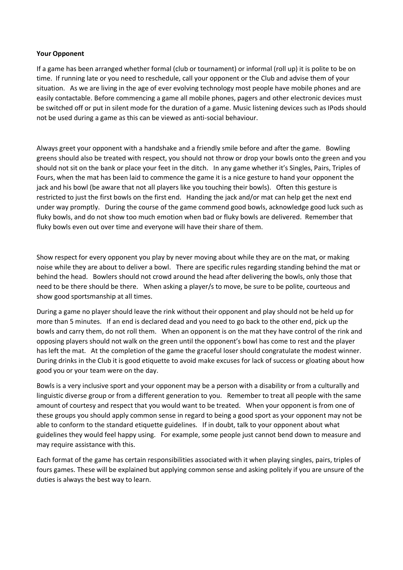# **Your Opponent**

If a game has been arranged whether formal (club or tournament) or informal (roll up) it is polite to be on time. If running late or you need to reschedule, call your opponent or the Club and advise them of your situation. As we are living in the age of ever evolving technology most people have mobile phones and are easily contactable. Before commencing a game all mobile phones, pagers and other electronic devices must be switched off or put in silent mode for the duration of a game. Music listening devices such as IPods should not be used during a game as this can be viewed as anti-social behaviour.

Always greet your opponent with a handshake and a friendly smile before and after the game. Bowling greens should also be treated with respect, you should not throw or drop your bowls onto the green and you should not sit on the bank or place your feet in the ditch. In any game whether it's Singles, Pairs, Triples of Fours, when the mat has been laid to commence the game it is a nice gesture to hand your opponent the jack and his bowl (be aware that not all players like you touching their bowls). Often this gesture is restricted to just the first bowls on the first end. Handing the jack and/or mat can help get the next end under way promptly. During the course of the game commend good bowls, acknowledge good luck such as fluky bowls, and do not show too much emotion when bad or fluky bowls are delivered. Remember that fluky bowls even out over time and everyone will have their share of them.

Show respect for every opponent you play by never moving about while they are on the mat, or making noise while they are about to deliver a bowl. There are specific rules regarding standing behind the mat or behind the head. Bowlers should not crowd around the head after delivering the bowls, only those that need to be there should be there. When asking a player/s to move, be sure to be polite, courteous and show good sportsmanship at all times.

During a game no player should leave the rink without their opponent and play should not be held up for more than 5 minutes. If an end is declared dead and you need to go back to the other end, pick up the bowls and carry them, do not roll them. When an opponent is on the mat they have control of the rink and opposing players should not walk on the green until the opponent's bowl has come to rest and the player has left the mat. At the completion of the game the graceful loser should congratulate the modest winner. During drinks in the Club it is good etiquette to avoid make excuses for lack of success or gloating about how good you or your team were on the day.

Bowls is a very inclusive sport and your opponent may be a person with a disability or from a culturally and linguistic diverse group or from a different generation to you. Remember to treat all people with the same amount of courtesy and respect that you would want to be treated. When your opponent is from one of these groups you should apply common sense in regard to being a good sport as your opponent may not be able to conform to the standard etiquette guidelines. If in doubt, talk to your opponent about what guidelines they would feel happy using. For example, some people just cannot bend down to measure and may require assistance with this.

Each format of the game has certain responsibilities associated with it when playing singles, pairs, triples of fours games. These will be explained but applying common sense and asking politely if you are unsure of the duties is always the best way to learn.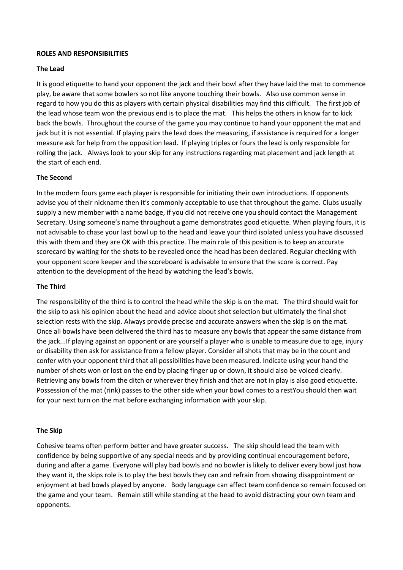## **ROLES AND RESPONSIBILITIES**

### **The Lead**

It is good etiquette to hand your opponent the jack and their bowl after they have laid the mat to commence play, be aware that some bowlers so not like anyone touching their bowls. Also use common sense in regard to how you do this as players with certain physical disabilities may find this difficult. The first job of the lead whose team won the previous end is to place the mat. This helps the others in know far to kick back the bowls. Throughout the course of the game you may continue to hand your opponent the mat and jack but it is not essential. If playing pairs the lead does the measuring, if assistance is required for a longer measure ask for help from the opposition lead. If playing triples or fours the lead is only responsible for rolling the jack. Always look to your skip for any instructions regarding mat placement and jack length at the start of each end.

# **The Second**

In the modern fours game each player is responsible for initiating their own introductions. If opponents advise you of their nickname then it's commonly acceptable to use that throughout the game. Clubs usually supply a new member with a name badge, if you did not receive one you should contact the Management Secretary. Using someone's name throughout a game demonstrates good etiquette. When playing fours, it is not advisable to chase your last bowl up to the head and leave your third isolated unless you have discussed this with them and they are OK with this practice. The main role of this position is to keep an accurate scorecard by waiting for the shots to be revealed once the head has been declared. Regular checking with your opponent score keeper and the scoreboard is advisable to ensure that the score is correct. Pay attention to the development of the head by watching the lead's bowls.

#### **The Third**

The responsibility of the third is to control the head while the skip is on the mat. The third should wait for the skip to ask his opinion about the head and advice about shot selection but ultimately the final shot selection rests with the skip. Always provide precise and accurate answers when the skip is on the mat. Once all bowls have been delivered the third has to measure any bowls that appear the same distance from the jack...If playing against an opponent or are yourself a player who is unable to measure due to age, injury or disability then ask for assistance from a fellow player. Consider all shots that may be in the count and confer with your opponent third that all possibilities have been measured. Indicate using your hand the number of shots won or lost on the end by placing finger up or down, it should also be voiced clearly. Retrieving any bowls from the ditch or wherever they finish and that are not in play is also good etiquette. Possession of the mat (rink) passes to the other side when your bowl comes to a restYou should then wait for your next turn on the mat before exchanging information with your skip.

#### **The Skip**

Cohesive teams often perform better and have greater success. The skip should lead the team with confidence by being supportive of any special needs and by providing continual encouragement before, during and after a game. Everyone will play bad bowls and no bowler is likely to deliver every bowl just how they want it, the skips role is to play the best bowls they can and refrain from showing disappointment or enjoyment at bad bowls played by anyone. Body language can affect team confidence so remain focused on the game and your team. Remain still while standing at the head to avoid distracting your own team and opponents.